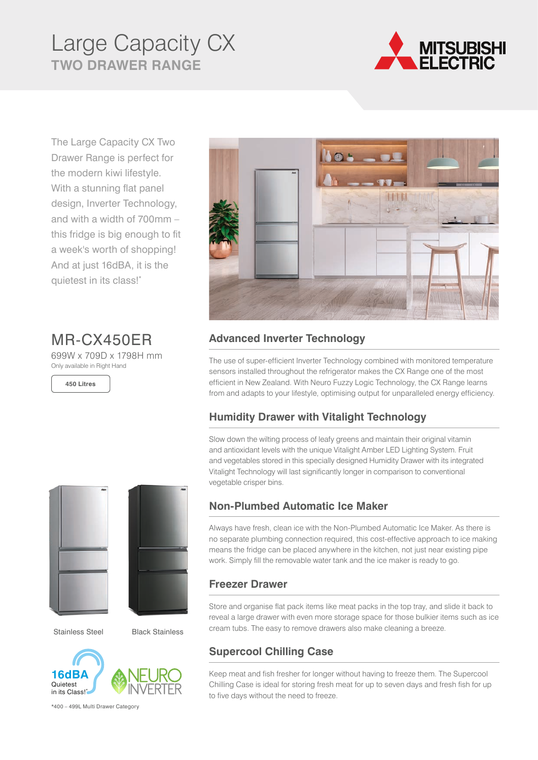# Large Capacity CX **TWO DRAWER RANGE**



The Large Capacity CX Two Drawer Range is perfect for the modern kiwi lifestyle. With a stunning flat panel design, Inverter Technology, and with a width of 700mm – this fridge is big enough to fit a week's worth of shopping! And at just 16dBA, it is the quietest in its class!\*

MR-CX450ER

699W x 709D x 1798H mm Only available in Right Hand

**450 Litres**





Black Stainless Stainless Steel Black Stainless



\*400 – 499L Multi Drawer Category



## **Advanced Inverter Technology**

The use of super-efficient Inverter Technology combined with monitored temperature sensors installed throughout the refrigerator makes the CX Range one of the most efficient in New Zealand. With Neuro Fuzzy Logic Technology, the CX Range learns from and adapts to your lifestyle, optimising output for unparalleled energy efficiency.

## **Humidity Drawer with Vitalight Technology**

Slow down the wilting process of leafy greens and maintain their original vitamin and antioxidant levels with the unique Vitalight Amber LED Lighting System. Fruit and vegetables stored in this specially designed Humidity Drawer with its integrated Vitalight Technology will last significantly longer in comparison to conventional vegetable crisper bins.

#### **Non-Plumbed Automatic Ice Maker**

Always have fresh, clean ice with the Non-Plumbed Automatic Ice Maker. As there is no separate plumbing connection required, this cost-effective approach to ice making means the fridge can be placed anywhere in the kitchen, not just near existing pipe work. Simply fill the removable water tank and the ice maker is ready to go.

#### **Freezer Drawer**

Store and organise flat pack items like meat packs in the top tray, and slide it back to reveal a large drawer with even more storage space for those bulkier items such as ice cream tubs. The easy to remove drawers also make cleaning a breeze.

## **Supercool Chilling Case**

Keep meat and fish fresher for longer without having to freeze them. The Supercool Chilling Case is ideal for storing fresh meat for up to seven days and fresh fish for up to five days without the need to freeze.